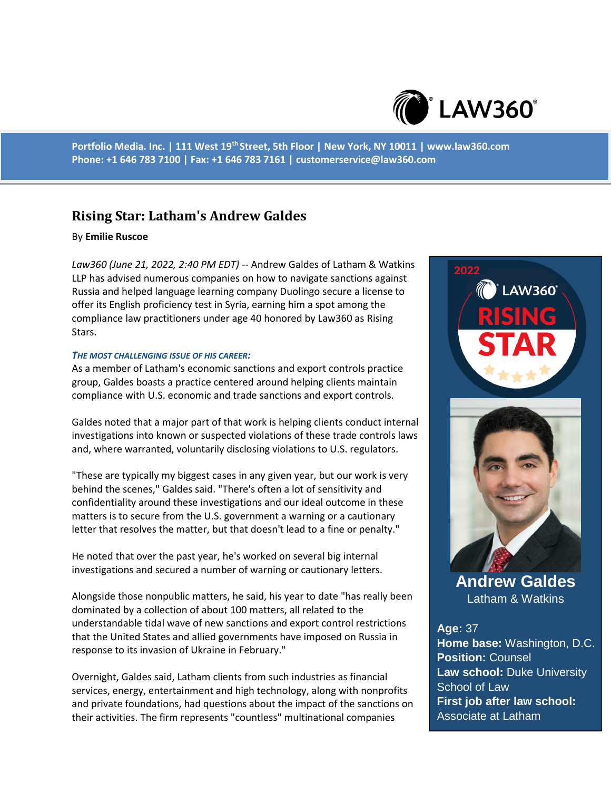

**Portfolio Media. Inc. | 111 West 19th Street, 5th Floor | New York, NY 10011 | www.law360.com Phone: +1 646 783 7100 | Fax: +1 646 783 7161 | customerservice@law360.com**

# **Rising Star: Latham's Andrew Galdes**

### By **Emilie Ruscoe**

*Law360 (June 21, 2022, 2:40 PM EDT)* -- Andrew Galdes of Latham & Watkins LLP has advised numerous companies on how to navigate sanctions against Russia and helped language learning company Duolingo secure a license to offer its English proficiency test in Syria, earning him a spot among the compliance law practitioners under age 40 honored by Law360 as Rising Stars.

### *THE MOST CHALLENGING ISSUE OF HIS CAREER:*

As a member of Latham's economic sanctions and export controls practice group, Galdes boasts a practice centered around helping clients maintain compliance with U.S. economic and trade sanctions and export controls.

Galdes noted that a major part of that work is helping clients conduct internal investigations into known or suspected violations of these trade controls laws and, where warranted, voluntarily disclosing violations to U.S. regulators.

"These are typically my biggest cases in any given year, but our work is very behind the scenes," Galdes said. "There's often a lot of sensitivity and confidentiality around these investigations and our ideal outcome in these matters is to secure from the U.S. government a warning or a cautionary letter that resolves the matter, but that doesn't lead to a fine or penalty."

He noted that over the past year, he's worked on several big internal investigations and secured a number of warning or cautionary letters.

Alongside those nonpublic matters, he said, his year to date "has really been dominated by a collection of about 100 matters, all related to the understandable tidal wave of new sanctions and export control restrictions that the United States and allied governments have imposed on Russia in response to its invasion of Ukraine in February."

Overnight, Galdes said, Latham clients from such industries as financial services, energy, entertainment and high technology, along with nonprofits and private foundations, had questions about the impact of the sanctions on their activities. The firm represents "countless" multinational companies

**LAW360** 



**Andrew Galdes** Latham & Watkins

## **Age:** 37 **Home base:** Washington, D.C. **Position:** Counsel **Law school:** Duke University School of Law **First job after law school:**

Associate at Latham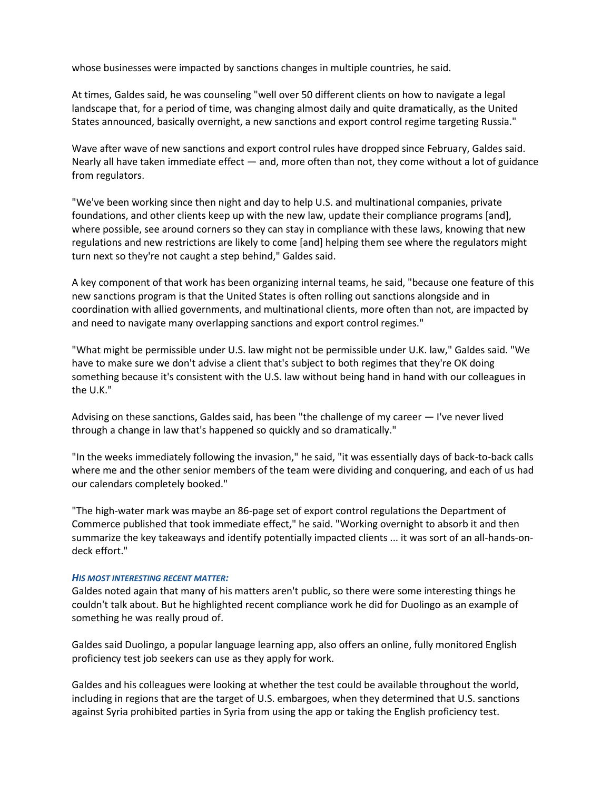whose businesses were impacted by sanctions changes in multiple countries, he said.

At times, Galdes said, he was counseling "well over 50 different clients on how to navigate a legal landscape that, for a period of time, was changing almost daily and quite dramatically, as the United States announced, basically overnight, a new sanctions and export control regime targeting Russia."

Wave after wave of new sanctions and export control rules have dropped since February, Galdes said. Nearly all have taken immediate effect — and, more often than not, they come without a lot of guidance from regulators.

"We've been working since then night and day to help U.S. and multinational companies, private foundations, and other clients keep up with the new law, update their compliance programs [and], where possible, see around corners so they can stay in compliance with these laws, knowing that new regulations and new restrictions are likely to come [and] helping them see where the regulators might turn next so they're not caught a step behind," Galdes said.

A key component of that work has been organizing internal teams, he said, "because one feature of this new sanctions program is that the United States is often rolling out sanctions alongside and in coordination with allied governments, and multinational clients, more often than not, are impacted by and need to navigate many overlapping sanctions and export control regimes."

"What might be permissible under U.S. law might not be permissible under U.K. law," Galdes said. "We have to make sure we don't advise a client that's subject to both regimes that they're OK doing something because it's consistent with the U.S. law without being hand in hand with our colleagues in the U.K."

Advising on these sanctions, Galdes said, has been "the challenge of my career — I've never lived through a change in law that's happened so quickly and so dramatically."

"In the weeks immediately following the invasion," he said, "it was essentially days of back-to-back calls where me and the other senior members of the team were dividing and conquering, and each of us had our calendars completely booked."

"The high-water mark was maybe an 86-page set of export control regulations the Department of Commerce published that took immediate effect," he said. "Working overnight to absorb it and then summarize the key takeaways and identify potentially impacted clients ... it was sort of an all-hands-ondeck effort."

### *HIS MOST INTERESTING RECENT MATTER:*

Galdes noted again that many of his matters aren't public, so there were some interesting things he couldn't talk about. But he highlighted recent compliance work he did for Duolingo as an example of something he was really proud of.

Galdes said Duolingo, a popular language learning app, also offers an online, fully monitored English proficiency test job seekers can use as they apply for work.

Galdes and his colleagues were looking at whether the test could be available throughout the world, including in regions that are the target of U.S. embargoes, when they determined that U.S. sanctions against Syria prohibited parties in Syria from using the app or taking the English proficiency test.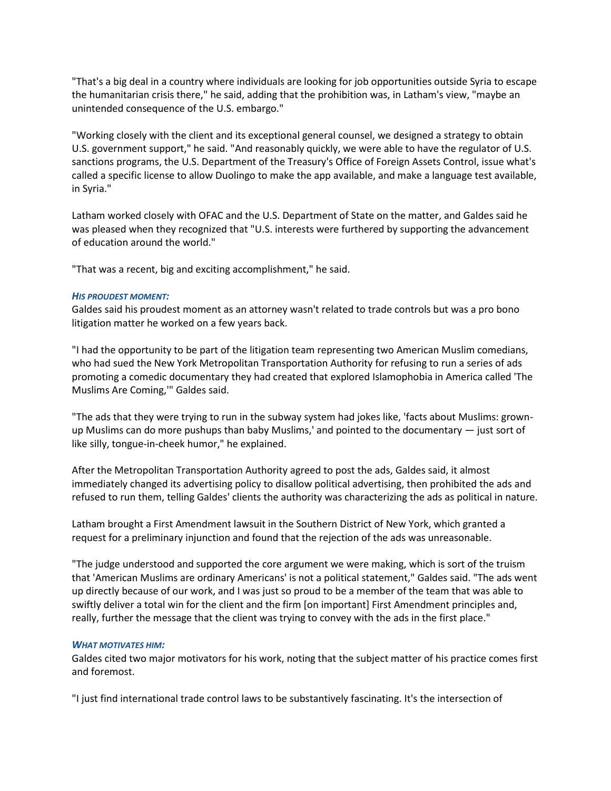"That's a big deal in a country where individuals are looking for job opportunities outside Syria to escape the humanitarian crisis there," he said, adding that the prohibition was, in Latham's view, "maybe an unintended consequence of the U.S. embargo."

"Working closely with the client and its exceptional general counsel, we designed a strategy to obtain U.S. government support," he said. "And reasonably quickly, we were able to have the regulator of U.S. sanctions programs, the U.S. Department of the Treasury's Office of Foreign Assets Control, issue what's called a specific license to allow Duolingo to make the app available, and make a language test available, in Syria."

Latham worked closely with OFAC and the U.S. Department of State on the matter, and Galdes said he was pleased when they recognized that "U.S. interests were furthered by supporting the advancement of education around the world."

"That was a recent, big and exciting accomplishment," he said.

### *HIS PROUDEST MOMENT:*

Galdes said his proudest moment as an attorney wasn't related to trade controls but was a pro bono litigation matter he worked on a few years back.

"I had the opportunity to be part of the litigation team representing two American Muslim comedians, who had sued the New York Metropolitan Transportation Authority for refusing to run a series of ads promoting a comedic documentary they had created that explored Islamophobia in America called 'The Muslims Are Coming,'" Galdes said.

"The ads that they were trying to run in the subway system had jokes like, 'facts about Muslims: grownup Muslims can do more pushups than baby Muslims,' and pointed to the documentary — just sort of like silly, tongue-in-cheek humor," he explained.

After the Metropolitan Transportation Authority agreed to post the ads, Galdes said, it almost immediately changed its advertising policy to disallow political advertising, then prohibited the ads and refused to run them, telling Galdes' clients the authority was characterizing the ads as political in nature.

Latham brought a First Amendment lawsuit in the Southern District of New York, which granted a request for a preliminary injunction and found that the rejection of the ads was unreasonable.

"The judge understood and supported the core argument we were making, which is sort of the truism that 'American Muslims are ordinary Americans' is not a political statement," Galdes said. "The ads went up directly because of our work, and I was just so proud to be a member of the team that was able to swiftly deliver a total win for the client and the firm [on important] First Amendment principles and, really, further the message that the client was trying to convey with the ads in the first place."

#### *WHAT MOTIVATES HIM:*

Galdes cited two major motivators for his work, noting that the subject matter of his practice comes first and foremost.

"I just find international trade control laws to be substantively fascinating. It's the intersection of